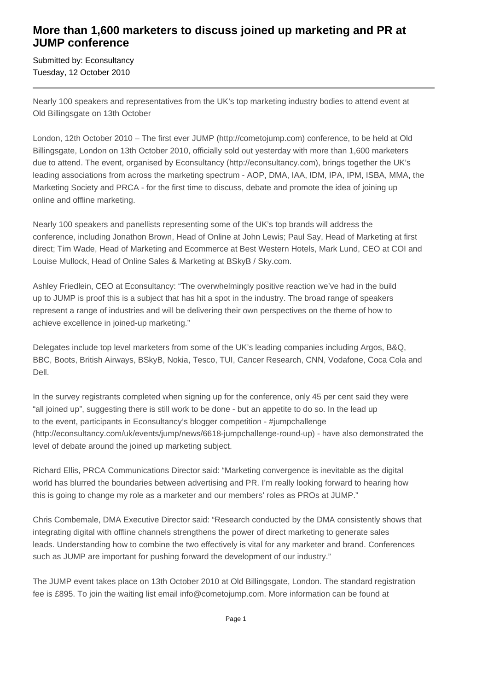## **More than 1,600 marketers to discuss joined up marketing and PR at JUMP conference**

Submitted by: Econsultancy Tuesday, 12 October 2010

Nearly 100 speakers and representatives from the UK's top marketing industry bodies to attend event at Old Billingsgate on 13th October

London, 12th October 2010 – The first ever JUMP (http://cometojump.com) conference, to be held at Old Billingsgate, London on 13th October 2010, officially sold out yesterday with more than 1,600 marketers due to attend. The event, organised by Econsultancy (http://econsultancy.com), brings together the UK's leading associations from across the marketing spectrum - AOP, DMA, IAA, IDM, IPA, IPM, ISBA, MMA, the Marketing Society and PRCA - for the first time to discuss, debate and promote the idea of joining up online and offline marketing.

Nearly 100 speakers and panellists representing some of the UK's top brands will address the conference, including Jonathon Brown, Head of Online at John Lewis; Paul Say, Head of Marketing at first direct; Tim Wade, Head of Marketing and Ecommerce at Best Western Hotels, Mark Lund, CEO at COI and Louise Mullock, Head of Online Sales & Marketing at BSkyB / Sky.com.

Ashley Friedlein, CEO at Econsultancy: "The overwhelmingly positive reaction we've had in the build up to JUMP is proof this is a subject that has hit a spot in the industry. The broad range of speakers represent a range of industries and will be delivering their own perspectives on the theme of how to achieve excellence in joined-up marketing."

Delegates include top level marketers from some of the UK's leading companies including Argos, B&Q, BBC, Boots, British Airways, BSkyB, Nokia, Tesco, TUI, Cancer Research, CNN, Vodafone, Coca Cola and Dell.

In the survey registrants completed when signing up for the conference, only 45 per cent said they were "all joined up", suggesting there is still work to be done - but an appetite to do so. In the lead up to the event, participants in Econsultancy's blogger competition - #jumpchallenge (http://econsultancy.com/uk/events/jump/news/6618-jumpchallenge-round-up) - have also demonstrated the level of debate around the joined up marketing subject.

Richard Ellis, PRCA Communications Director said: "Marketing convergence is inevitable as the digital world has blurred the boundaries between advertising and PR. I'm really looking forward to hearing how this is going to change my role as a marketer and our members' roles as PROs at JUMP."

Chris Combemale, DMA Executive Director said: "Research conducted by the DMA consistently shows that integrating digital with offline channels strengthens the power of direct marketing to generate sales leads. Understanding how to combine the two effectively is vital for any marketer and brand. Conferences such as JUMP are important for pushing forward the development of our industry."

The JUMP event takes place on 13th October 2010 at Old Billingsgate, London. The standard registration fee is £895. To join the waiting list email info@cometojump.com. More information can be found at